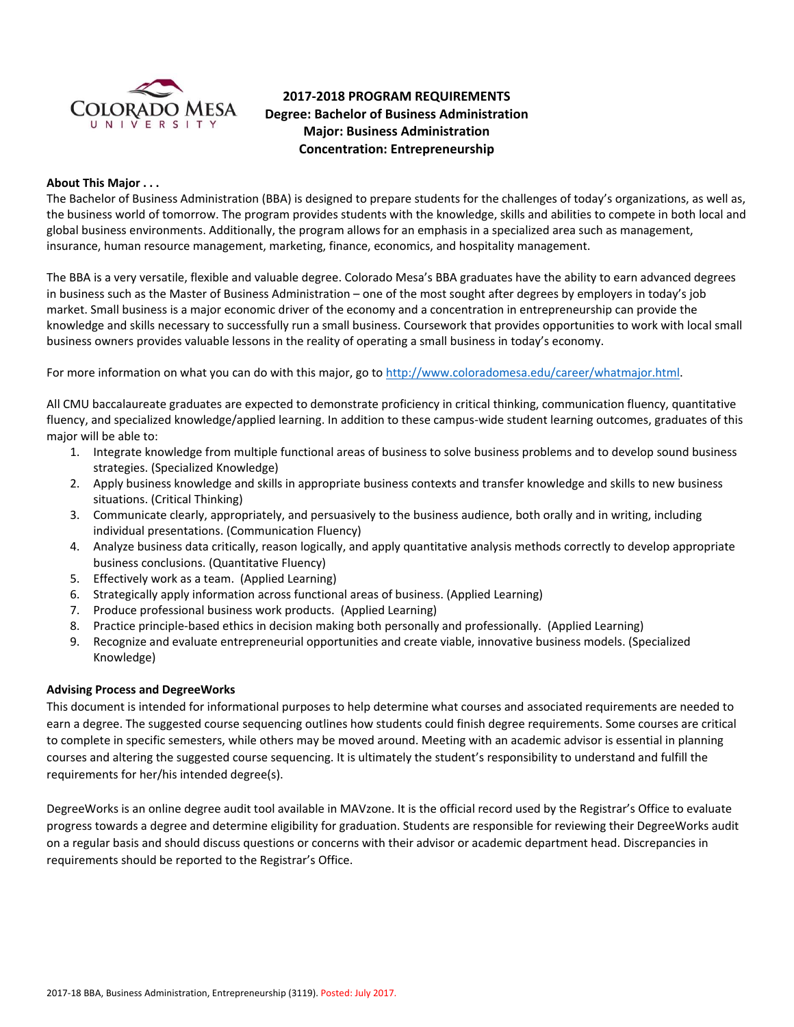

# **2017-2018 PROGRAM REQUIREMENTS Degree: Bachelor of Business Administration Major: Business Administration Concentration: Entrepreneurship**

### **About This Major . . .**

The Bachelor of Business Administration (BBA) is designed to prepare students for the challenges of today's organizations, as well as, the business world of tomorrow. The program provides students with the knowledge, skills and abilities to compete in both local and global business environments. Additionally, the program allows for an emphasis in a specialized area such as management, insurance, human resource management, marketing, finance, economics, and hospitality management.

The BBA is a very versatile, flexible and valuable degree. Colorado Mesa's BBA graduates have the ability to earn advanced degrees in business such as the Master of Business Administration – one of the most sought after degrees by employers in today's job market. Small business is a major economic driver of the economy and a concentration in entrepreneurship can provide the knowledge and skills necessary to successfully run a small business. Coursework that provides opportunities to work with local small business owners provides valuable lessons in the reality of operating a small business in today's economy.

For more information on what you can do with this major, go t[o http://www.coloradomesa.edu/career/whatmajor.html.](http://www.coloradomesa.edu/career/whatmajor.html)

All CMU baccalaureate graduates are expected to demonstrate proficiency in critical thinking, communication fluency, quantitative fluency, and specialized knowledge/applied learning. In addition to these campus-wide student learning outcomes, graduates of this major will be able to:

- 1. Integrate knowledge from multiple functional areas of business to solve business problems and to develop sound business strategies. (Specialized Knowledge)
- 2. Apply business knowledge and skills in appropriate business contexts and transfer knowledge and skills to new business situations. (Critical Thinking)
- 3. Communicate clearly, appropriately, and persuasively to the business audience, both orally and in writing, including individual presentations. (Communication Fluency)
- 4. Analyze business data critically, reason logically, and apply quantitative analysis methods correctly to develop appropriate business conclusions. (Quantitative Fluency)
- 5. Effectively work as a team. (Applied Learning)
- 6. Strategically apply information across functional areas of business. (Applied Learning)
- 7. Produce professional business work products. (Applied Learning)
- 8. Practice principle-based ethics in decision making both personally and professionally. (Applied Learning)
- 9. Recognize and evaluate entrepreneurial opportunities and create viable, innovative business models. (Specialized Knowledge)

# **Advising Process and DegreeWorks**

This document is intended for informational purposes to help determine what courses and associated requirements are needed to earn a degree. The suggested course sequencing outlines how students could finish degree requirements. Some courses are critical to complete in specific semesters, while others may be moved around. Meeting with an academic advisor is essential in planning courses and altering the suggested course sequencing. It is ultimately the student's responsibility to understand and fulfill the requirements for her/his intended degree(s).

DegreeWorks is an online degree audit tool available in MAVzone. It is the official record used by the Registrar's Office to evaluate progress towards a degree and determine eligibility for graduation. Students are responsible for reviewing their DegreeWorks audit on a regular basis and should discuss questions or concerns with their advisor or academic department head. Discrepancies in requirements should be reported to the Registrar's Office.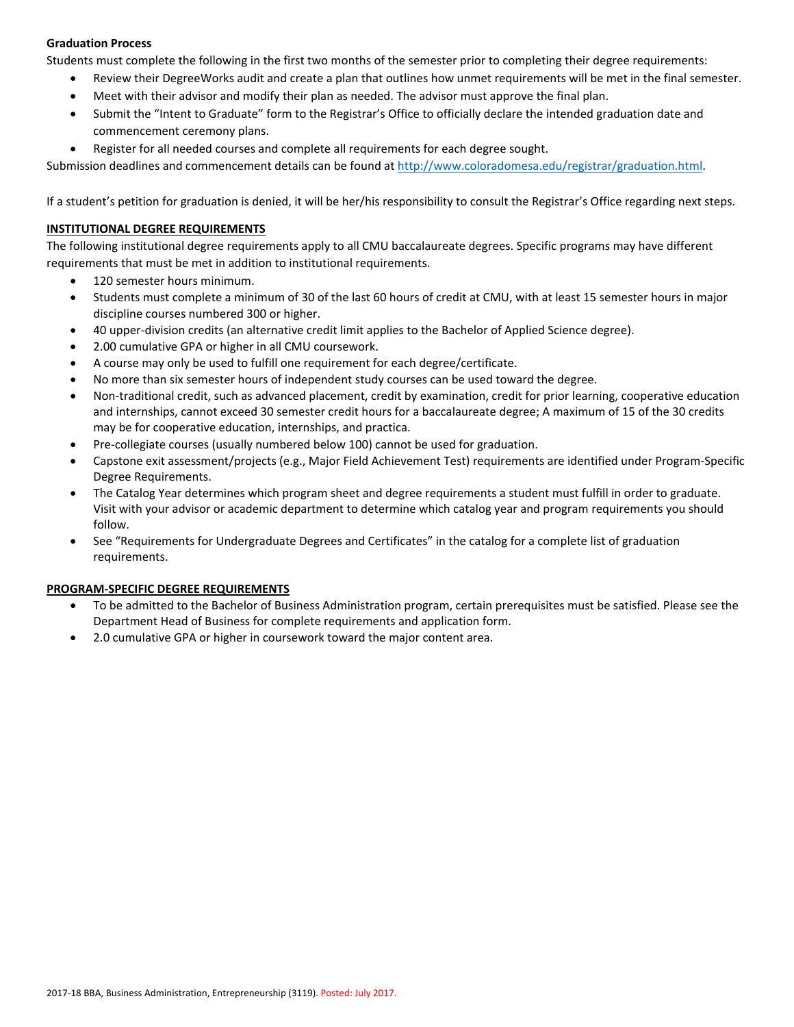# **Graduation Process**

Students must complete the following in the first two months of the semester prior to completing their degree requirements:

- Review their DegreeWorks audit and create a plan that outlines how unmet requirements will be met in the final semester.
- Meet with their advisor and modify their plan as needed. The advisor must approve the final plan.
- Submit the "Intent to Graduate" form to the Registrar's Office to officially declare the intended graduation date and commencement ceremony plans.
- Register for all needed courses and complete all requirements for each degree sought.

Submission deadlines and commencement details can be found at [http://www.coloradomesa.edu/registrar/graduation.html.](http://www.coloradomesa.edu/registrar/graduation.html)

If a student's petition for graduation is denied, it will be her/his responsibility to consult the Registrar's Office regarding next steps.

# **INSTITUTIONAL DEGREE REQUIREMENTS**

The following institutional degree requirements apply to all CMU baccalaureate degrees. Specific programs may have different requirements that must be met in addition to institutional requirements.

- 120 semester hours minimum.
- Students must complete a minimum of 30 of the last 60 hours of credit at CMU, with at least 15 semester hours in major discipline courses numbered 300 or higher.
- 40 upper-division credits (an alternative credit limit applies to the Bachelor of Applied Science degree).
- 2.00 cumulative GPA or higher in all CMU coursework.
- A course may only be used to fulfill one requirement for each degree/certificate.
- No more than six semester hours of independent study courses can be used toward the degree.
- Non-traditional credit, such as advanced placement, credit by examination, credit for prior learning, cooperative education and internships, cannot exceed 30 semester credit hours for a baccalaureate degree; A maximum of 15 of the 30 credits may be for cooperative education, internships, and practica.
- Pre-collegiate courses (usually numbered below 100) cannot be used for graduation.
- Capstone exit assessment/projects (e.g., Major Field Achievement Test) requirements are identified under Program-Specific Degree Requirements.
- The Catalog Year determines which program sheet and degree requirements a student must fulfill in order to graduate. Visit with your advisor or academic department to determine which catalog year and program requirements you should follow.
- See "Requirements for Undergraduate Degrees and Certificates" in the catalog for a complete list of graduation requirements.

# **PROGRAM-SPECIFIC DEGREE REQUIREMENTS**

- To be admitted to the Bachelor of Business Administration program, certain prerequisites must be satisfied. Please see the Department Head of Business for complete requirements and application form.
- 2.0 cumulative GPA or higher in coursework toward the major content area.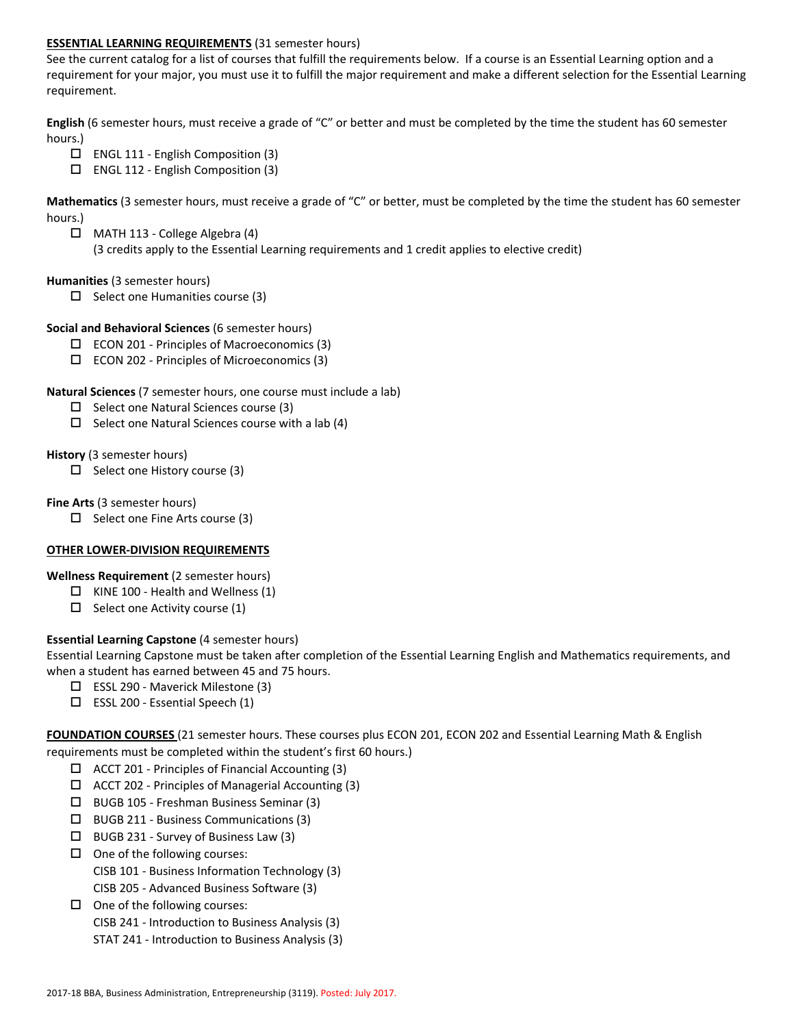# **ESSENTIAL LEARNING REQUIREMENTS** (31 semester hours)

See the current catalog for a list of courses that fulfill the requirements below. If a course is an Essential Learning option and a requirement for your major, you must use it to fulfill the major requirement and make a different selection for the Essential Learning requirement.

**English** (6 semester hours, must receive a grade of "C" or better and must be completed by the time the student has 60 semester hours.)

- $\Box$  ENGL 111 English Composition (3)
- $\square$  ENGL 112 English Composition (3)

**Mathematics** (3 semester hours, must receive a grade of "C" or better, must be completed by the time the student has 60 semester hours.)

 $\Box$  MATH 113 - College Algebra (4)

(3 credits apply to the Essential Learning requirements and 1 credit applies to elective credit)

### **Humanities** (3 semester hours)

 $\Box$  Select one Humanities course (3)

### **Social and Behavioral Sciences** (6 semester hours)

- $\square$  ECON 201 Principles of Macroeconomics (3)
- $\square$  ECON 202 Principles of Microeconomics (3)

### **Natural Sciences** (7 semester hours, one course must include a lab)

- $\Box$  Select one Natural Sciences course (3)
- $\Box$  Select one Natural Sciences course with a lab (4)

#### **History** (3 semester hours)

 $\Box$  Select one History course (3)

### **Fine Arts** (3 semester hours)

 $\Box$  Select one Fine Arts course (3)

# **OTHER LOWER-DIVISION REQUIREMENTS**

# **Wellness Requirement** (2 semester hours)

- $\Box$  KINE 100 Health and Wellness (1)
- $\Box$  Select one Activity course (1)

# **Essential Learning Capstone** (4 semester hours)

Essential Learning Capstone must be taken after completion of the Essential Learning English and Mathematics requirements, and when a student has earned between 45 and 75 hours.

- $\Box$  ESSL 290 Maverick Milestone (3)
- $\square$  ESSL 200 Essential Speech (1)

**FOUNDATION COURSES** (21 semester hours. These courses plus ECON 201, ECON 202 and Essential Learning Math & English requirements must be completed within the student's first 60 hours.)

- $\Box$  ACCT 201 Principles of Financial Accounting (3)
- $\Box$  ACCT 202 Principles of Managerial Accounting (3)
- BUGB 105 Freshman Business Seminar (3)
- $\square$  BUGB 211 Business Communications (3)
- $\Box$  BUGB 231 Survey of Business Law (3)
- $\Box$  One of the following courses: CISB 101 - Business Information Technology (3) CISB 205 - Advanced Business Software (3)
- $\Box$  One of the following courses:
	- CISB 241 Introduction to Business Analysis (3)
	- STAT 241 Introduction to Business Analysis (3)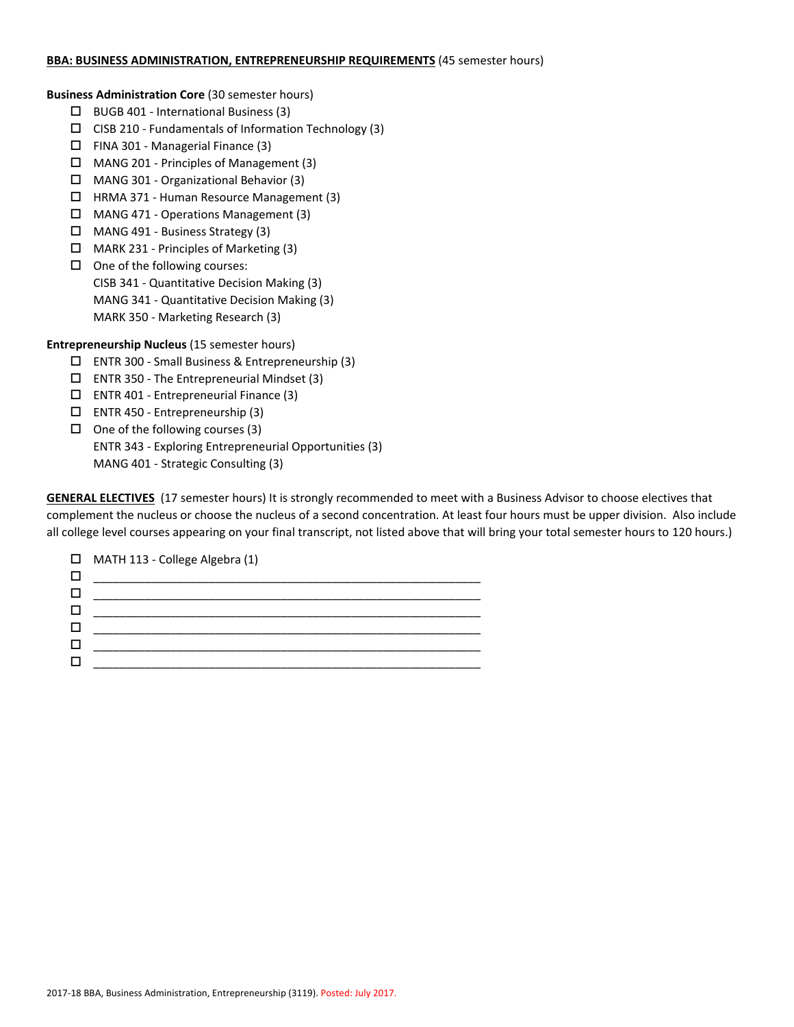#### **BBA: BUSINESS ADMINISTRATION, ENTREPRENEURSHIP REQUIREMENTS** (45 semester hours)

**Business Administration Core** (30 semester hours)

- $\Box$  BUGB 401 International Business (3)
- $\square$  CISB 210 Fundamentals of Information Technology (3)
- $\Box$  FINA 301 Managerial Finance (3)
- MANG 201 Principles of Management (3)
- MANG 301 Organizational Behavior (3)
- HRMA 371 Human Resource Management (3)
- MANG 471 Operations Management (3)
- MANG 491 Business Strategy (3)
- MARK 231 Principles of Marketing (3)
- $\Box$  One of the following courses: CISB 341 - Quantitative Decision Making (3) MANG 341 - Quantitative Decision Making (3) MARK 350 - Marketing Research (3)

**Entrepreneurship Nucleus** (15 semester hours)

- ENTR 300 Small Business & Entrepreneurship (3)
- $\Box$  ENTR 350 The Entrepreneurial Mindset (3)
- $\square$  ENTR 401 Entrepreneurial Finance (3)
- ENTR 450 Entrepreneurship (3)
- $\Box$  One of the following courses (3)

ENTR 343 - Exploring Entrepreneurial Opportunities (3) MANG 401 - Strategic Consulting (3)

**GENERAL ELECTIVES** (17 semester hours) It is strongly recommended to meet with a Business Advisor to choose electives that complement the nucleus or choose the nucleus of a second concentration. At least four hours must be upper division. Also include all college level courses appearing on your final transcript, not listed above that will bring your total semester hours to 120 hours.)